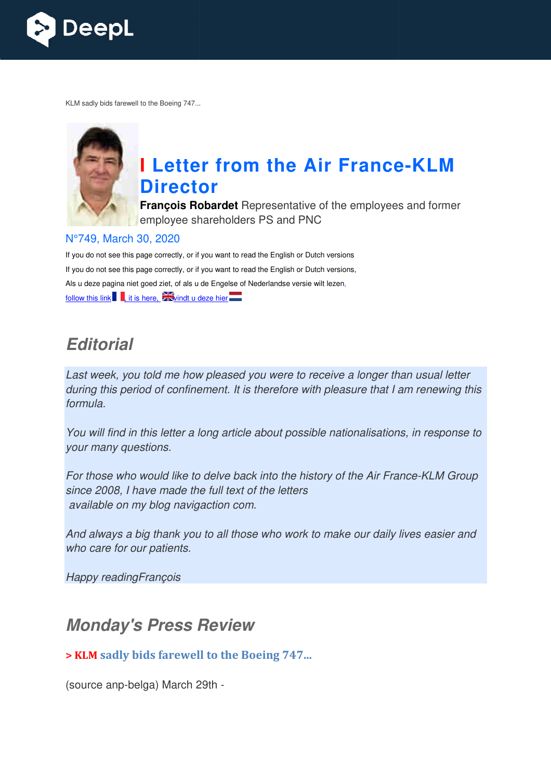

KLM sadly bids farewell to the Boeing 747...



# **I** Letter from the Air France-KLM **Director**

**François Robardet** Representative of the employees and former employee shareholders PS and PNC

#### N°749, March 30, 2020

If you do not see this page correctly, or if you want to read the English or Dutch versions If you do not see this page correctly, or if you want to read the English or Dutch versions, Als u deze pagina niet goed ziet, of als u de Engelse of Nederlandse versie wilt lezen, follow this link  $\blacksquare$ , it is here,  $\blacksquare$  windt u deze hier

## *Editorial*

Last week, you told me how pleased you were to receive a longer than usual letter during this period of confinement. It is therefore with pleasure that I am renewing this formula.

You will find in this letter a long article about possible nationalisations, in response to your many questions.

For those who would like to delve back into the history of the Air France-KLM Group since 2008, I have made the full text of the letters available on my blog navigaction com.

And always a big thank you to all those who work to make our daily lives easier and who care for our patients.

Happy readingFrançois

## *Monday's Press Review*

#### **> KLM sadly bids farewell to the Boeing 747...**

(source anp-belga) March 29th -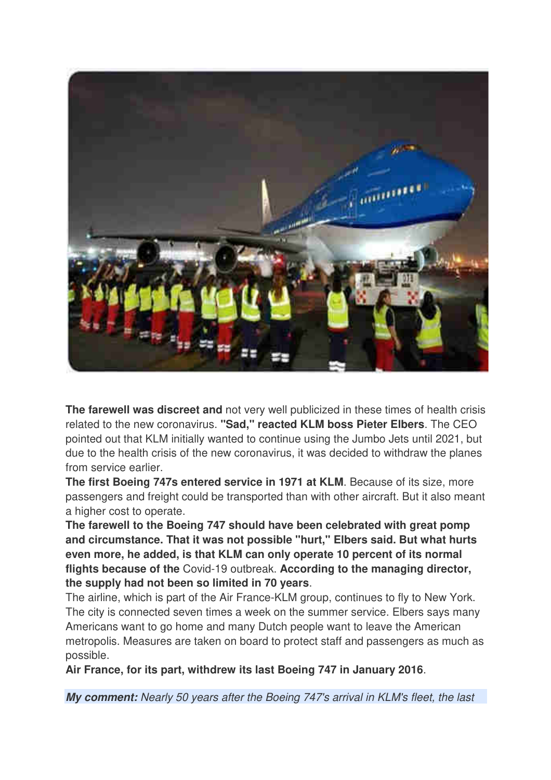

**The farewell was discreet and** not very well publicized in these times of health crisis related to the new coronavirus. **"Sad," reacted KLM boss Pieter Elbers**. The CEO pointed out that KLM initially wanted to continue using the Jumbo Jets until 2021, but due to the health crisis of the new coronavirus, it was decided to withdraw the planes from service earlier.

**The first Boeing 747s entered service in 1971 at KLM**. Because of its size, more passengers and freight could be transported than with other aircraft. But it also meant a higher cost to operate.

**The farewell to the Boeing 747 should have been celebrated with great pomp and circumstance. That it was not possible "hurt," Elbers said. But what hurts even more, he added, is that KLM can only operate 10 percent of its normal flights because of the** Covid-19 outbreak. **According to the managing director, the supply had not been so limited in 70 years**.

The airline, which is part of the Air France-KLM group, continues to fly to New York. The city is connected seven times a week on the summer service. Elbers says many Americans want to go home and many Dutch people want to leave the American metropolis. Measures are taken on board to protect staff and passengers as much as possible.

**Air France, for its part, withdrew its last Boeing 747 in January 2016**.

*My comment:* Nearly 50 years after the Boeing 747's arrival in KLM's fleet, the last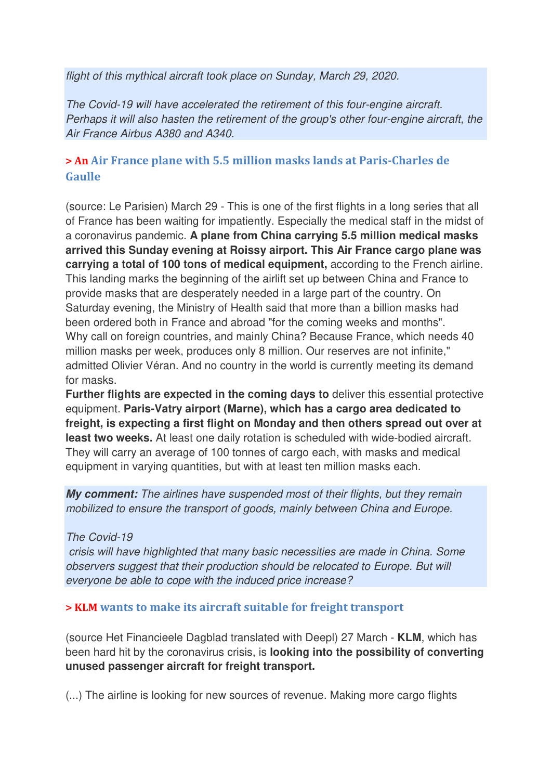flight of this mythical aircraft took place on Sunday, March 29, 2020.

The Covid-19 will have accelerated the retirement of this four-engine aircraft. Perhaps it will also hasten the retirement of the group's other four-engine aircraft, the Air France Airbus A380 and A340.

#### **> An Air France plane with 5.5 million masks lands at Paris-Charles de Gaulle**

(source: Le Parisien) March 29 - This is one of the first flights in a long series that all of France has been waiting for impatiently. Especially the medical staff in the midst of a coronavirus pandemic. **A plane from China carrying 5.5 million medical masks arrived this Sunday evening at Roissy airport. This Air France cargo plane was carrying a total of 100 tons of medical equipment,** according to the French airline. This landing marks the beginning of the airlift set up between China and France to provide masks that are desperately needed in a large part of the country. On Saturday evening, the Ministry of Health said that more than a billion masks had been ordered both in France and abroad "for the coming weeks and months". Why call on foreign countries, and mainly China? Because France, which needs 40 million masks per week, produces only 8 million. Our reserves are not infinite," admitted Olivier Véran. And no country in the world is currently meeting its demand for masks.

**Further flights are expected in the coming days to** deliver this essential protective equipment. **Paris-Vatry airport (Marne), which has a cargo area dedicated to freight, is expecting a first flight on Monday and then others spread out over at least two weeks.** At least one daily rotation is scheduled with wide-bodied aircraft. They will carry an average of 100 tonnes of cargo each, with masks and medical equipment in varying quantities, but with at least ten million masks each.

*My comment:* The airlines have suspended most of their flights, but they remain mobilized to ensure the transport of goods, mainly between China and Europe.

The Covid-19

 crisis will have highlighted that many basic necessities are made in China. Some observers suggest that their production should be relocated to Europe. But will everyone be able to cope with the induced price increase?

#### **> KLM wants to make its aircraft suitable for freight transport**

(source Het Financieele Dagblad translated with Deepl) 27 March - **KLM**, which has been hard hit by the coronavirus crisis, is **looking into the possibility of converting unused passenger aircraft for freight transport.** 

(...) The airline is looking for new sources of revenue. Making more cargo flights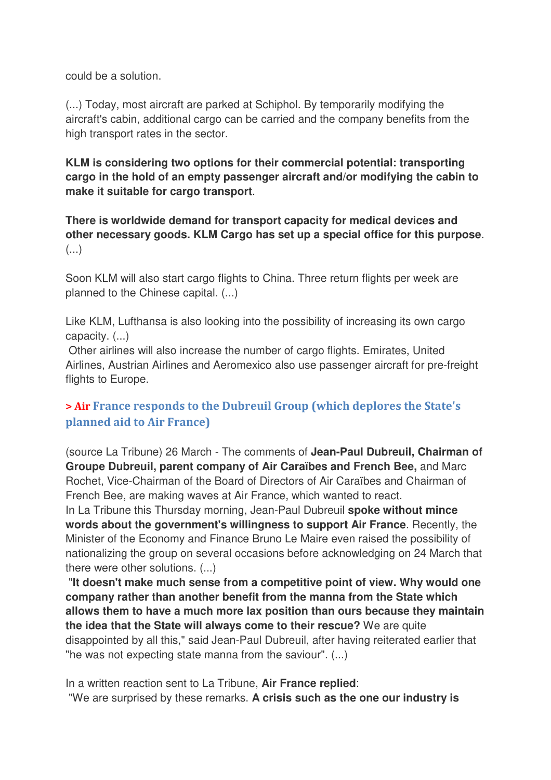could be a solution.

(...) Today, most aircraft are parked at Schiphol. By temporarily modifying the aircraft's cabin, additional cargo can be carried and the company benefits from the high transport rates in the sector.

**KLM is considering two options for their commercial potential: transporting cargo in the hold of an empty passenger aircraft and/or modifying the cabin to make it suitable for cargo transport**.

**There is worldwide demand for transport capacity for medical devices and other necessary goods. KLM Cargo has set up a special office for this purpose**. (...)

Soon KLM will also start cargo flights to China. Three return flights per week are planned to the Chinese capital. (...)

Like KLM, Lufthansa is also looking into the possibility of increasing its own cargo capacity. (...)

 Other airlines will also increase the number of cargo flights. Emirates, United Airlines, Austrian Airlines and Aeromexico also use passenger aircraft for pre-freight flights to Europe.

### **> Air France responds to the Dubreuil Group (which deplores the State's planned aid to Air France)**

(source La Tribune) 26 March - The comments of **Jean-Paul Dubreuil, Chairman of Groupe Dubreuil, parent company of Air Caraïbes and French Bee,** and Marc Rochet, Vice-Chairman of the Board of Directors of Air Caraïbes and Chairman of French Bee, are making waves at Air France, which wanted to react.

In La Tribune this Thursday morning, Jean-Paul Dubreuil **spoke without mince words about the government's willingness to support Air France**. Recently, the Minister of the Economy and Finance Bruno Le Maire even raised the possibility of nationalizing the group on several occasions before acknowledging on 24 March that there were other solutions. (...)

 "**It doesn't make much sense from a competitive point of view. Why would one company rather than another benefit from the manna from the State which allows them to have a much more lax position than ours because they maintain the idea that the State will always come to their rescue?** We are quite disappointed by all this," said Jean-Paul Dubreuil, after having reiterated earlier that "he was not expecting state manna from the saviour". (...)

In a written reaction sent to La Tribune, **Air France replied**: "We are surprised by these remarks. **A crisis such as the one our industry is**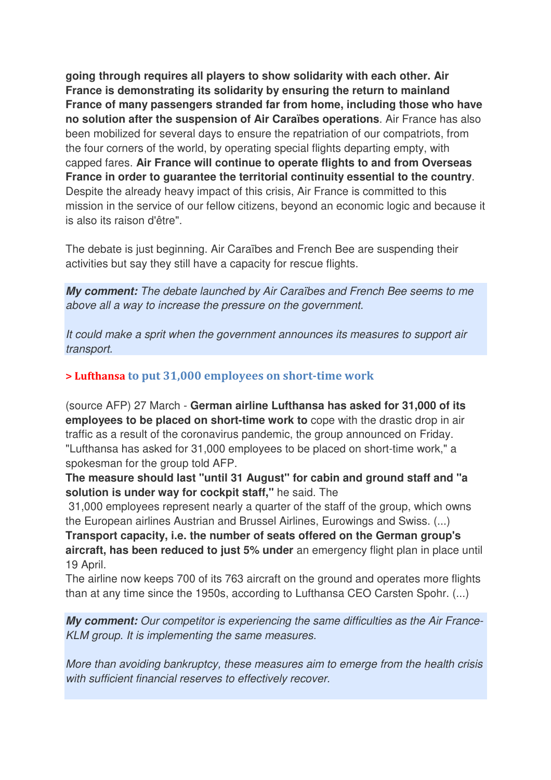**going through requires all players to show solidarity with each other. Air France is demonstrating its solidarity by ensuring the return to mainland France of many passengers stranded far from home, including those who have no solution after the suspension of Air Caraïbes operations**. Air France has also been mobilized for several days to ensure the repatriation of our compatriots, from the four corners of the world, by operating special flights departing empty, with capped fares. **Air France will continue to operate flights to and from Overseas France in order to guarantee the territorial continuity essential to the country**. Despite the already heavy impact of this crisis, Air France is committed to this mission in the service of our fellow citizens, beyond an economic logic and because it is also its raison d'être".

The debate is just beginning. Air Caraïbes and French Bee are suspending their activities but say they still have a capacity for rescue flights.

*My comment:* The debate launched by Air Caraïbes and French Bee seems to me above all a way to increase the pressure on the government.

It could make a sprit when the government announces its measures to support air transport.

#### **> Lufthansa to put 31,000 employees on short-time work**

(source AFP) 27 March - **German airline Lufthansa has asked for 31,000 of its employees to be placed on short-time work to** cope with the drastic drop in air traffic as a result of the coronavirus pandemic, the group announced on Friday. "Lufthansa has asked for 31,000 employees to be placed on short-time work," a spokesman for the group told AFP.

**The measure should last "until 31 August" for cabin and ground staff and "a solution is under way for cockpit staff,"** he said. The

 31,000 employees represent nearly a quarter of the staff of the group, which owns the European airlines Austrian and Brussel Airlines, Eurowings and Swiss. (...)

**Transport capacity, i.e. the number of seats offered on the German group's aircraft, has been reduced to just 5% under** an emergency flight plan in place until 19 April.

The airline now keeps 700 of its 763 aircraft on the ground and operates more flights than at any time since the 1950s, according to Lufthansa CEO Carsten Spohr. (...)

*My comment:* Our competitor is experiencing the same difficulties as the Air France-KLM group. It is implementing the same measures.

More than avoiding bankruptcy, these measures aim to emerge from the health crisis with sufficient financial reserves to effectively recover.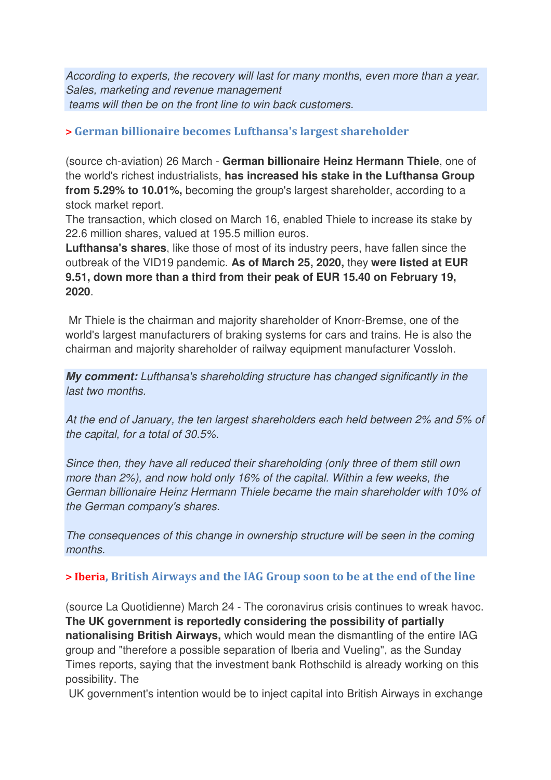According to experts, the recovery will last for many months, even more than a year. Sales, marketing and revenue management teams will then be on the front line to win back customers.

#### **> German billionaire becomes Lufthansa's largest shareholder**

(source ch-aviation) 26 March - **German billionaire Heinz Hermann Thiele**, one of the world's richest industrialists, **has increased his stake in the Lufthansa Group from 5.29% to 10.01%,** becoming the group's largest shareholder, according to a stock market report.

The transaction, which closed on March 16, enabled Thiele to increase its stake by 22.6 million shares, valued at 195.5 million euros.

**Lufthansa's shares**, like those of most of its industry peers, have fallen since the outbreak of the VID19 pandemic. **As of March 25, 2020,** they **were listed at EUR 9.51, down more than a third from their peak of EUR 15.40 on February 19, 2020**.

 Mr Thiele is the chairman and majority shareholder of Knorr-Bremse, one of the world's largest manufacturers of braking systems for cars and trains. He is also the chairman and majority shareholder of railway equipment manufacturer Vossloh.

*My comment:* Lufthansa's shareholding structure has changed significantly in the last two months.

At the end of January, the ten largest shareholders each held between 2% and 5% of the capital, for a total of 30.5%.

Since then, they have all reduced their shareholding (only three of them still own more than 2%), and now hold only 16% of the capital. Within a few weeks, the German billionaire Heinz Hermann Thiele became the main shareholder with 10% of the German company's shares.

The consequences of this change in ownership structure will be seen in the coming months.

#### **> Iberia, British Airways and the IAG Group soon to be at the end of the line**

(source La Quotidienne) March 24 - The coronavirus crisis continues to wreak havoc. **The UK government is reportedly considering the possibility of partially nationalising British Airways,** which would mean the dismantling of the entire IAG group and "therefore a possible separation of Iberia and Vueling", as the Sunday Times reports, saying that the investment bank Rothschild is already working on this possibility. The

UK government's intention would be to inject capital into British Airways in exchange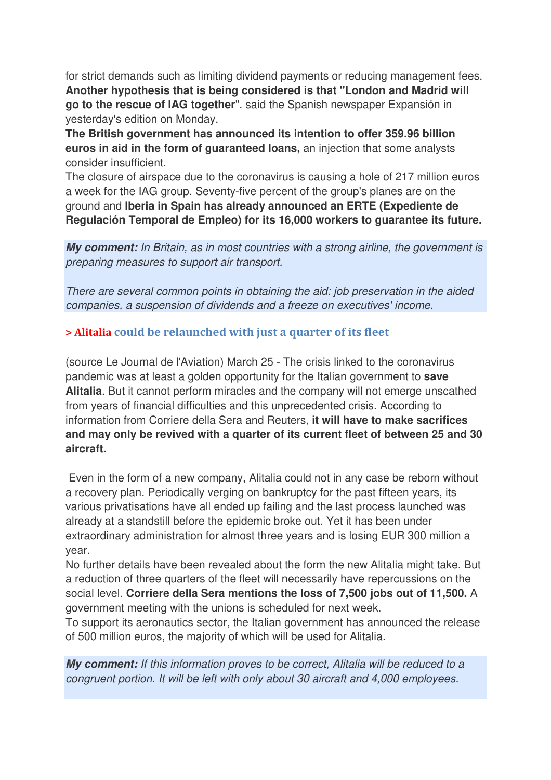for strict demands such as limiting dividend payments or reducing management fees. **Another hypothesis that is being considered is that "London and Madrid will go to the rescue of IAG together**". said the Spanish newspaper Expansión in yesterday's edition on Monday.

**The British government has announced its intention to offer 359.96 billion euros in aid in the form of guaranteed loans,** an injection that some analysts consider insufficient.

The closure of airspace due to the coronavirus is causing a hole of 217 million euros a week for the IAG group. Seventy-five percent of the group's planes are on the ground and **Iberia in Spain has already announced an ERTE (Expediente de Regulación Temporal de Empleo) for its 16,000 workers to guarantee its future.**

**My comment:** In Britain, as in most countries with a strong airline, the government is preparing measures to support air transport.

There are several common points in obtaining the aid: job preservation in the aided companies, a suspension of dividends and a freeze on executives' income.

#### **> Alitalia could be relaunched with just a quarter of its fleet**

(source Le Journal de l'Aviation) March 25 - The crisis linked to the coronavirus pandemic was at least a golden opportunity for the Italian government to **save Alitalia**. But it cannot perform miracles and the company will not emerge unscathed from years of financial difficulties and this unprecedented crisis. According to information from Corriere della Sera and Reuters, **it will have to make sacrifices and may only be revived with a quarter of its current fleet of between 25 and 30 aircraft.** 

 Even in the form of a new company, Alitalia could not in any case be reborn without a recovery plan. Periodically verging on bankruptcy for the past fifteen years, its various privatisations have all ended up failing and the last process launched was already at a standstill before the epidemic broke out. Yet it has been under extraordinary administration for almost three years and is losing EUR 300 million a year.

No further details have been revealed about the form the new Alitalia might take. But a reduction of three quarters of the fleet will necessarily have repercussions on the social level. **Corriere della Sera mentions the loss of 7,500 jobs out of 11,500.** A government meeting with the unions is scheduled for next week.

To support its aeronautics sector, the Italian government has announced the release of 500 million euros, the majority of which will be used for Alitalia.

*My comment:* If this information proves to be correct, Alitalia will be reduced to a congruent portion. It will be left with only about 30 aircraft and 4,000 employees.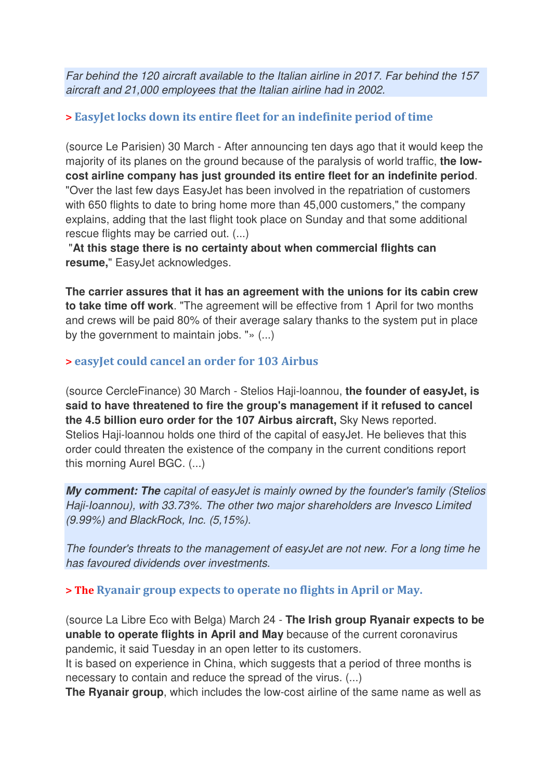Far behind the 120 aircraft available to the Italian airline in 2017. Far behind the 157 aircraft and 21,000 employees that the Italian airline had in 2002.

#### **> EasyJet locks down its entire fleet for an indefinite period of time**

(source Le Parisien) 30 March - After announcing ten days ago that it would keep the majority of its planes on the ground because of the paralysis of world traffic, **the lowcost airline company has just grounded its entire fleet for an indefinite period**. "Over the last few days EasyJet has been involved in the repatriation of customers with 650 flights to date to bring home more than 45,000 customers," the company explains, adding that the last flight took place on Sunday and that some additional rescue flights may be carried out. (...)

 "**At this stage there is no certainty about when commercial flights can resume,**" EasyJet acknowledges.

**The carrier assures that it has an agreement with the unions for its cabin crew to take time off work**. "The agreement will be effective from 1 April for two months and crews will be paid 80% of their average salary thanks to the system put in place by the government to maintain jobs. "» (...)

#### **> easyJet could cancel an order for 103 Airbus**

(source CercleFinance) 30 March - Stelios Haji-loannou, **the founder of easyJet, is said to have threatened to fire the group's management if it refused to cancel the 4.5 billion euro order for the 107 Airbus aircraft,** Sky News reported. Stelios Haji-loannou holds one third of the capital of easyJet. He believes that this order could threaten the existence of the company in the current conditions report this morning Aurel BGC. (...)

**My comment: The** capital of easyJet is mainly owned by the founder's family (Stelios Haji-Ioannou), with 33.73%. The other two major shareholders are Invesco Limited (9.99%) and BlackRock, Inc. (5,15%).

The founder's threats to the management of easyJet are not new. For a long time he has favoured dividends over investments.

#### **> The Ryanair group expects to operate no flights in April or May.**

(source La Libre Eco with Belga) March 24 - **The Irish group Ryanair expects to be unable to operate flights in April and May** because of the current coronavirus pandemic, it said Tuesday in an open letter to its customers.

It is based on experience in China, which suggests that a period of three months is necessary to contain and reduce the spread of the virus. (...)

**The Ryanair group**, which includes the low-cost airline of the same name as well as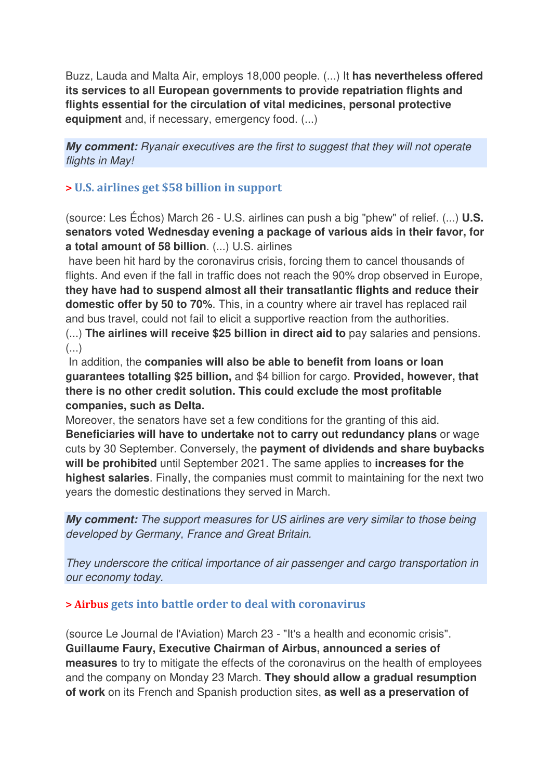Buzz, Lauda and Malta Air, employs 18,000 people. (...) It **has nevertheless offered its services to all European governments to provide repatriation flights and flights essential for the circulation of vital medicines, personal protective equipment** and, if necessary, emergency food. (...)

*My comment:* Ryanair executives are the first to suggest that they will not operate flights in May!

#### **> U.S. airlines get \$58 billion in support**

(source: Les Échos) March 26 - U.S. airlines can push a big "phew" of relief. (...) **U.S. senators voted Wednesday evening a package of various aids in their favor, for a total amount of 58 billion**. (...) U.S. airlines

 have been hit hard by the coronavirus crisis, forcing them to cancel thousands of flights. And even if the fall in traffic does not reach the 90% drop observed in Europe, **they have had to suspend almost all their transatlantic flights and reduce their domestic offer by 50 to 70%**. This, in a country where air travel has replaced rail and bus travel, could not fail to elicit a supportive reaction from the authorities.

(...) **The airlines will receive \$25 billion in direct aid to** pay salaries and pensions. (...)

 In addition, the **companies will also be able to benefit from loans or loan guarantees totalling \$25 billion,** and \$4 billion for cargo. **Provided, however, that there is no other credit solution. This could exclude the most profitable companies, such as Delta.** 

Moreover, the senators have set a few conditions for the granting of this aid. **Beneficiaries will have to undertake not to carry out redundancy plans** or wage cuts by 30 September. Conversely, the **payment of dividends and share buybacks will be prohibited** until September 2021. The same applies to **increases for the highest salaries**. Finally, the companies must commit to maintaining for the next two years the domestic destinations they served in March.

*My comment:* The support measures for US airlines are very similar to those being developed by Germany, France and Great Britain.

They underscore the critical importance of air passenger and cargo transportation in our economy today.

#### **> Airbus gets into battle order to deal with coronavirus**

(source Le Journal de l'Aviation) March 23 - "It's a health and economic crisis". **Guillaume Faury, Executive Chairman of Airbus, announced a series of measures** to try to mitigate the effects of the coronavirus on the health of employees and the company on Monday 23 March. **They should allow a gradual resumption of work** on its French and Spanish production sites, **as well as a preservation of**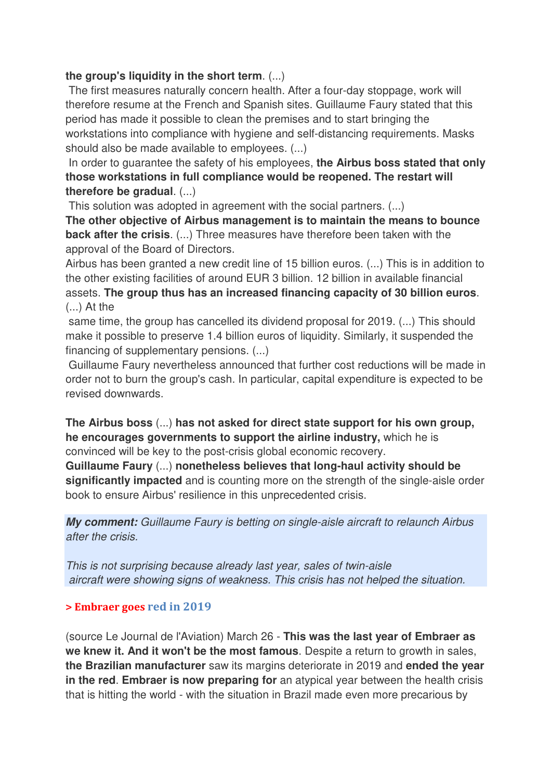#### **the group's liquidity in the short term**. (...)

 The first measures naturally concern health. After a four-day stoppage, work will therefore resume at the French and Spanish sites. Guillaume Faury stated that this period has made it possible to clean the premises and to start bringing the workstations into compliance with hygiene and self-distancing requirements. Masks should also be made available to employees. (...)

 In order to guarantee the safety of his employees, **the Airbus boss stated that only those workstations in full compliance would be reopened. The restart will therefore be gradual**. (...)

This solution was adopted in agreement with the social partners. (...)

**The other objective of Airbus management is to maintain the means to bounce back after the crisis**. (...) Three measures have therefore been taken with the approval of the Board of Directors.

Airbus has been granted a new credit line of 15 billion euros. (...) This is in addition to the other existing facilities of around EUR 3 billion. 12 billion in available financial assets. **The group thus has an increased financing capacity of 30 billion euros**. (...) At the

 same time, the group has cancelled its dividend proposal for 2019. (...) This should make it possible to preserve 1.4 billion euros of liquidity. Similarly, it suspended the financing of supplementary pensions. (...)

Guillaume Faury nevertheless announced that further cost reductions will be made in order not to burn the group's cash. In particular, capital expenditure is expected to be revised downwards.

#### **The Airbus boss** (...) **has not asked for direct state support for his own group, he encourages governments to support the airline industry,** which he is convinced will be key to the post-crisis global economic recovery.

**Guillaume Faury** (...) **nonetheless believes that long-haul activity should be significantly impacted** and is counting more on the strength of the single-aisle order book to ensure Airbus' resilience in this unprecedented crisis.

*My comment:* Guillaume Faury is betting on single-aisle aircraft to relaunch Airbus after the crisis.

This is not surprising because already last year, sales of twin-aisle aircraft were showing signs of weakness. This crisis has not helped the situation.

#### **> Embraer goes red in 2019**

(source Le Journal de l'Aviation) March 26 - **This was the last year of Embraer as we knew it. And it won't be the most famous**. Despite a return to growth in sales, **the Brazilian manufacturer** saw its margins deteriorate in 2019 and **ended the year in the red**. **Embraer is now preparing for** an atypical year between the health crisis that is hitting the world - with the situation in Brazil made even more precarious by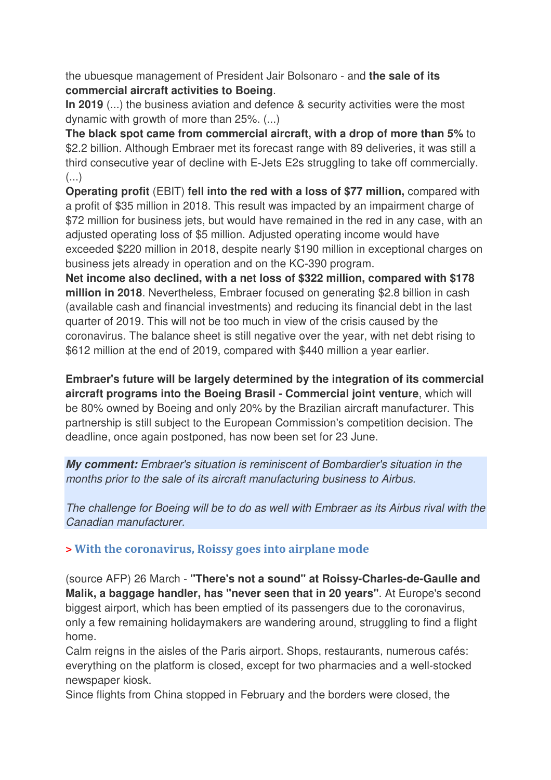the ubuesque management of President Jair Bolsonaro - and **the sale of its commercial aircraft activities to Boeing**.

**In 2019** (...) the business aviation and defence & security activities were the most dynamic with growth of more than 25%. (...)

**The black spot came from commercial aircraft, with a drop of more than 5%** to \$2.2 billion. Although Embraer met its forecast range with 89 deliveries, it was still a third consecutive year of decline with E-Jets E2s struggling to take off commercially. (...)

**Operating profit** (EBIT) **fell into the red with a loss of \$77 million,** compared with a profit of \$35 million in 2018. This result was impacted by an impairment charge of \$72 million for business jets, but would have remained in the red in any case, with an adjusted operating loss of \$5 million. Adjusted operating income would have exceeded \$220 million in 2018, despite nearly \$190 million in exceptional charges on business jets already in operation and on the KC-390 program.

**Net income also declined, with a net loss of \$322 million, compared with \$178 million in 2018**. Nevertheless, Embraer focused on generating \$2.8 billion in cash (available cash and financial investments) and reducing its financial debt in the last quarter of 2019. This will not be too much in view of the crisis caused by the coronavirus. The balance sheet is still negative over the year, with net debt rising to \$612 million at the end of 2019, compared with \$440 million a year earlier.

**Embraer's future will be largely determined by the integration of its commercial aircraft programs into the Boeing Brasil - Commercial joint venture**, which will be 80% owned by Boeing and only 20% by the Brazilian aircraft manufacturer. This partnership is still subject to the European Commission's competition decision. The deadline, once again postponed, has now been set for 23 June.

*My comment:* Embraer's situation is reminiscent of Bombardier's situation in the months prior to the sale of its aircraft manufacturing business to Airbus.

The challenge for Boeing will be to do as well with Embraer as its Airbus rival with the Canadian manufacturer.

#### **> With the coronavirus, Roissy goes into airplane mode**

(source AFP) 26 March - **"There's not a sound" at Roissy-Charles-de-Gaulle and Malik, a baggage handler, has "never seen that in 20 years"**. At Europe's second biggest airport, which has been emptied of its passengers due to the coronavirus, only a few remaining holidaymakers are wandering around, struggling to find a flight home.

Calm reigns in the aisles of the Paris airport. Shops, restaurants, numerous cafés: everything on the platform is closed, except for two pharmacies and a well-stocked newspaper kiosk.

Since flights from China stopped in February and the borders were closed, the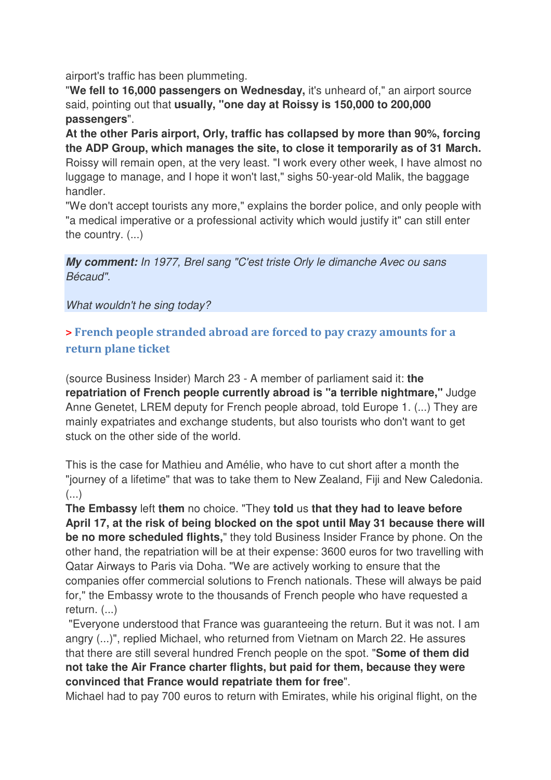airport's traffic has been plummeting.

"**We fell to 16,000 passengers on Wednesday,** it's unheard of," an airport source said, pointing out that **usually, "one day at Roissy is 150,000 to 200,000 passengers**".

**At the other Paris airport, Orly, traffic has collapsed by more than 90%, forcing the ADP Group, which manages the site, to close it temporarily as of 31 March.**  Roissy will remain open, at the very least. "I work every other week, I have almost no luggage to manage, and I hope it won't last," sighs 50-year-old Malik, the baggage handler.

"We don't accept tourists any more," explains the border police, and only people with "a medical imperative or a professional activity which would justify it" can still enter the country. (...)

*My comment:* In 1977, Brel sang "C'est triste Orly le dimanche Avec ou sans Bécaud".

What wouldn't he sing today?

#### **> French people stranded abroad are forced to pay crazy amounts for a return plane ticket**

(source Business Insider) March 23 - A member of parliament said it: **the repatriation of French people currently abroad is "a terrible nightmare,"** Judge Anne Genetet, LREM deputy for French people abroad, told Europe 1. (...) They are mainly expatriates and exchange students, but also tourists who don't want to get stuck on the other side of the world.

This is the case for Mathieu and Amélie, who have to cut short after a month the "journey of a lifetime" that was to take them to New Zealand, Fiji and New Caledonia.  $\left( \ldots \right)$ 

**The Embassy** left **them** no choice. "They **told** us **that they had to leave before April 17, at the risk of being blocked on the spot until May 31 because there will be no more scheduled flights,**" they told Business Insider France by phone. On the other hand, the repatriation will be at their expense: 3600 euros for two travelling with Qatar Airways to Paris via Doha. "We are actively working to ensure that the companies offer commercial solutions to French nationals. These will always be paid for," the Embassy wrote to the thousands of French people who have requested a return. (...)

 "Everyone understood that France was guaranteeing the return. But it was not. I am angry (...)", replied Michael, who returned from Vietnam on March 22. He assures that there are still several hundred French people on the spot. "**Some of them did not take the Air France charter flights, but paid for them, because they were convinced that France would repatriate them for free**".

Michael had to pay 700 euros to return with Emirates, while his original flight, on the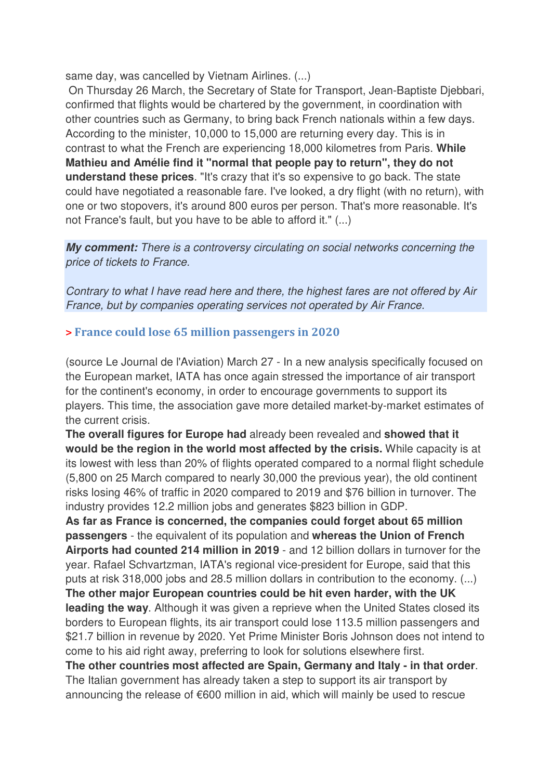same day, was cancelled by Vietnam Airlines. (...)

 On Thursday 26 March, the Secretary of State for Transport, Jean-Baptiste Djebbari, confirmed that flights would be chartered by the government, in coordination with other countries such as Germany, to bring back French nationals within a few days. According to the minister, 10,000 to 15,000 are returning every day. This is in contrast to what the French are experiencing 18,000 kilometres from Paris. **While Mathieu and Amélie find it "normal that people pay to return", they do not understand these prices**. "It's crazy that it's so expensive to go back. The state could have negotiated a reasonable fare. I've looked, a dry flight (with no return), with one or two stopovers, it's around 800 euros per person. That's more reasonable. It's not France's fault, but you have to be able to afford it." (...)

*My comment:* There is a controversy circulating on social networks concerning the price of tickets to France.

Contrary to what I have read here and there, the highest fares are not offered by Air France, but by companies operating services not operated by Air France.

#### **> France could lose 65 million passengers in 2020**

(source Le Journal de l'Aviation) March 27 - In a new analysis specifically focused on the European market, IATA has once again stressed the importance of air transport for the continent's economy, in order to encourage governments to support its players. This time, the association gave more detailed market-by-market estimates of the current crisis.

**The overall figures for Europe had** already been revealed and **showed that it would be the region in the world most affected by the crisis.** While capacity is at its lowest with less than 20% of flights operated compared to a normal flight schedule (5,800 on 25 March compared to nearly 30,000 the previous year), the old continent risks losing 46% of traffic in 2020 compared to 2019 and \$76 billion in turnover. The industry provides 12.2 million jobs and generates \$823 billion in GDP.

**As far as France is concerned, the companies could forget about 65 million passengers** - the equivalent of its population and **whereas the Union of French Airports had counted 214 million in 2019** - and 12 billion dollars in turnover for the year. Rafael Schvartzman, IATA's regional vice-president for Europe, said that this puts at risk 318,000 jobs and 28.5 million dollars in contribution to the economy. (...) **The other major European countries could be hit even harder, with the UK leading the way**. Although it was given a reprieve when the United States closed its borders to European flights, its air transport could lose 113.5 million passengers and \$21.7 billion in revenue by 2020. Yet Prime Minister Boris Johnson does not intend to come to his aid right away, preferring to look for solutions elsewhere first.

**The other countries most affected are Spain, Germany and Italy - in that order**. The Italian government has already taken a step to support its air transport by announcing the release of €600 million in aid, which will mainly be used to rescue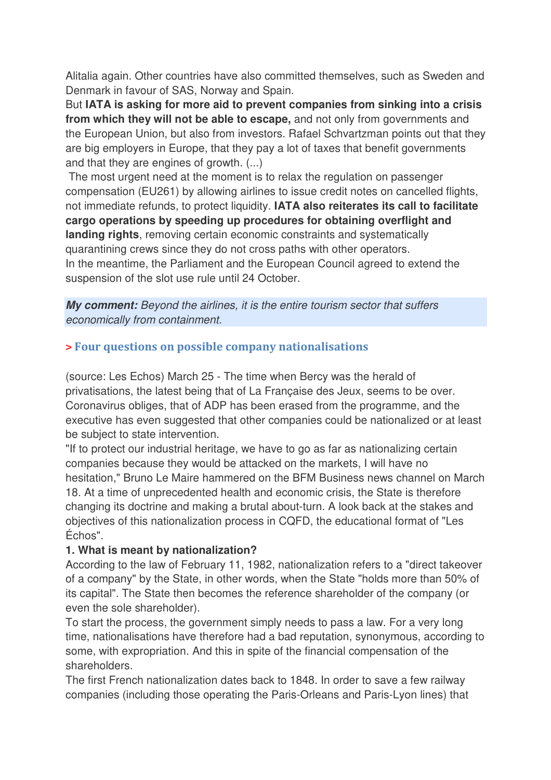Alitalia again. Other countries have also committed themselves, such as Sweden and Denmark in favour of SAS, Norway and Spain.

But **IATA is asking for more aid to prevent companies from sinking into a crisis from which they will not be able to escape,** and not only from governments and the European Union, but also from investors. Rafael Schvartzman points out that they are big employers in Europe, that they pay a lot of taxes that benefit governments and that they are engines of growth. (...)

 The most urgent need at the moment is to relax the regulation on passenger compensation (EU261) by allowing airlines to issue credit notes on cancelled flights, not immediate refunds, to protect liquidity. **IATA also reiterates its call to facilitate cargo operations by speeding up procedures for obtaining overflight and landing rights**, removing certain economic constraints and systematically quarantining crews since they do not cross paths with other operators. In the meantime, the Parliament and the European Council agreed to extend the suspension of the slot use rule until 24 October.

*My comment:* Beyond the airlines, it is the entire tourism sector that suffers economically from containment.

#### **> Four questions on possible company nationalisations**

(source: Les Echos) March 25 - The time when Bercy was the herald of privatisations, the latest being that of La Française des Jeux, seems to be over. Coronavirus obliges, that of ADP has been erased from the programme, and the executive has even suggested that other companies could be nationalized or at least be subject to state intervention.

"If to protect our industrial heritage, we have to go as far as nationalizing certain companies because they would be attacked on the markets, I will have no hesitation," Bruno Le Maire hammered on the BFM Business news channel on March 18. At a time of unprecedented health and economic crisis, the State is therefore changing its doctrine and making a brutal about-turn. A look back at the stakes and objectives of this nationalization process in CQFD, the educational format of "Les Échos".

#### **1. What is meant by nationalization?**

According to the law of February 11, 1982, nationalization refers to a "direct takeover of a company" by the State, in other words, when the State "holds more than 50% of its capital". The State then becomes the reference shareholder of the company (or even the sole shareholder).

To start the process, the government simply needs to pass a law. For a very long time, nationalisations have therefore had a bad reputation, synonymous, according to some, with expropriation. And this in spite of the financial compensation of the shareholders.

The first French nationalization dates back to 1848. In order to save a few railway companies (including those operating the Paris-Orleans and Paris-Lyon lines) that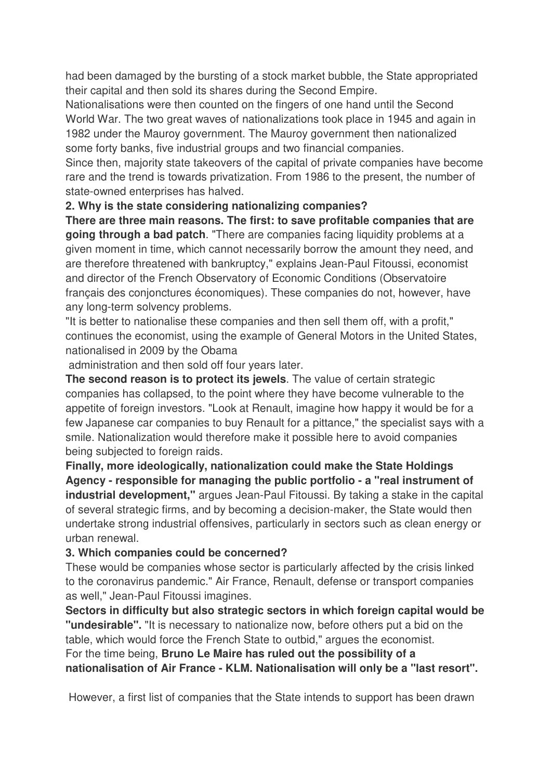had been damaged by the bursting of a stock market bubble, the State appropriated their capital and then sold its shares during the Second Empire.

Nationalisations were then counted on the fingers of one hand until the Second World War. The two great waves of nationalizations took place in 1945 and again in 1982 under the Mauroy government. The Mauroy government then nationalized some forty banks, five industrial groups and two financial companies.

Since then, majority state takeovers of the capital of private companies have become rare and the trend is towards privatization. From 1986 to the present, the number of state-owned enterprises has halved.

#### **2. Why is the state considering nationalizing companies?**

**There are three main reasons. The first: to save profitable companies that are going through a bad patch**. "There are companies facing liquidity problems at a given moment in time, which cannot necessarily borrow the amount they need, and are therefore threatened with bankruptcy," explains Jean-Paul Fitoussi, economist and director of the French Observatory of Economic Conditions (Observatoire français des conjonctures économiques). These companies do not, however, have any long-term solvency problems.

"It is better to nationalise these companies and then sell them off, with a profit," continues the economist, using the example of General Motors in the United States, nationalised in 2009 by the Obama

administration and then sold off four years later.

**The second reason is to protect its jewels**. The value of certain strategic companies has collapsed, to the point where they have become vulnerable to the appetite of foreign investors. "Look at Renault, imagine how happy it would be for a few Japanese car companies to buy Renault for a pittance," the specialist says with a smile. Nationalization would therefore make it possible here to avoid companies being subjected to foreign raids.

**Finally, more ideologically, nationalization could make the State Holdings Agency - responsible for managing the public portfolio - a "real instrument of industrial development,"** argues Jean-Paul Fitoussi. By taking a stake in the capital of several strategic firms, and by becoming a decision-maker, the State would then undertake strong industrial offensives, particularly in sectors such as clean energy or urban renewal.

#### **3. Which companies could be concerned?**

These would be companies whose sector is particularly affected by the crisis linked to the coronavirus pandemic." Air France, Renault, defense or transport companies as well," Jean-Paul Fitoussi imagines.

**Sectors in difficulty but also strategic sectors in which foreign capital would be "undesirable".** "It is necessary to nationalize now, before others put a bid on the table, which would force the French State to outbid," argues the economist. For the time being, **Bruno Le Maire has ruled out the possibility of a nationalisation of Air France - KLM. Nationalisation will only be a "last resort".** 

However, a first list of companies that the State intends to support has been drawn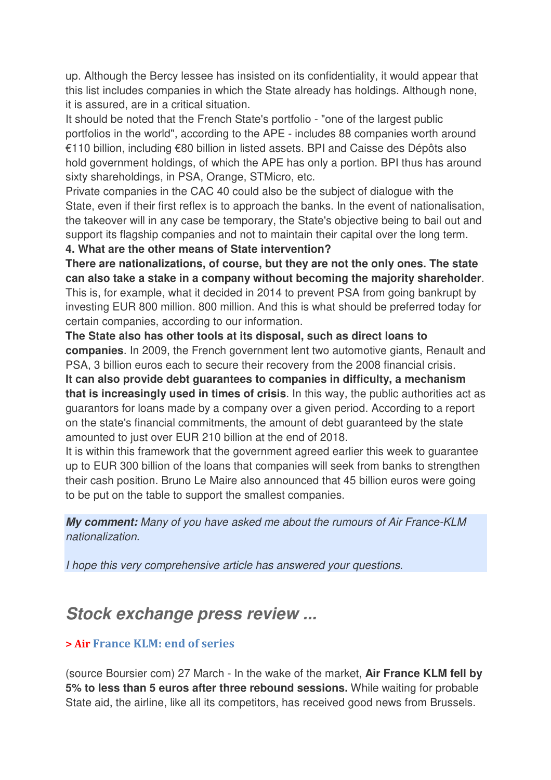up. Although the Bercy lessee has insisted on its confidentiality, it would appear that this list includes companies in which the State already has holdings. Although none, it is assured, are in a critical situation.

It should be noted that the French State's portfolio - "one of the largest public portfolios in the world", according to the APE - includes 88 companies worth around €110 billion, including €80 billion in listed assets. BPI and Caisse des Dépôts also hold government holdings, of which the APE has only a portion. BPI thus has around sixty shareholdings, in PSA, Orange, STMicro, etc.

Private companies in the CAC 40 could also be the subject of dialogue with the State, even if their first reflex is to approach the banks. In the event of nationalisation, the takeover will in any case be temporary, the State's objective being to bail out and support its flagship companies and not to maintain their capital over the long term.

#### **4. What are the other means of State intervention?**

**There are nationalizations, of course, but they are not the only ones. The state can also take a stake in a company without becoming the majority shareholder**. This is, for example, what it decided in 2014 to prevent PSA from going bankrupt by investing EUR 800 million. 800 million. And this is what should be preferred today for certain companies, according to our information.

**The State also has other tools at its disposal, such as direct loans to companies**. In 2009, the French government lent two automotive giants, Renault and PSA, 3 billion euros each to secure their recovery from the 2008 financial crisis.

**It can also provide debt guarantees to companies in difficulty, a mechanism that is increasingly used in times of crisis**. In this way, the public authorities act as guarantors for loans made by a company over a given period. According to a report on the state's financial commitments, the amount of debt guaranteed by the state amounted to just over EUR 210 billion at the end of 2018.

It is within this framework that the government agreed earlier this week to guarantee up to EUR 300 billion of the loans that companies will seek from banks to strengthen their cash position. Bruno Le Maire also announced that 45 billion euros were going to be put on the table to support the smallest companies.

*My comment:* Many of you have asked me about the rumours of Air France-KLM nationalization.

I hope this very comprehensive article has answered your questions.

# *Stock exchange press review ...*

#### **> Air France KLM: end of series**

(source Boursier com) 27 March - In the wake of the market, **Air France KLM fell by 5% to less than 5 euros after three rebound sessions.** While waiting for probable State aid, the airline, like all its competitors, has received good news from Brussels.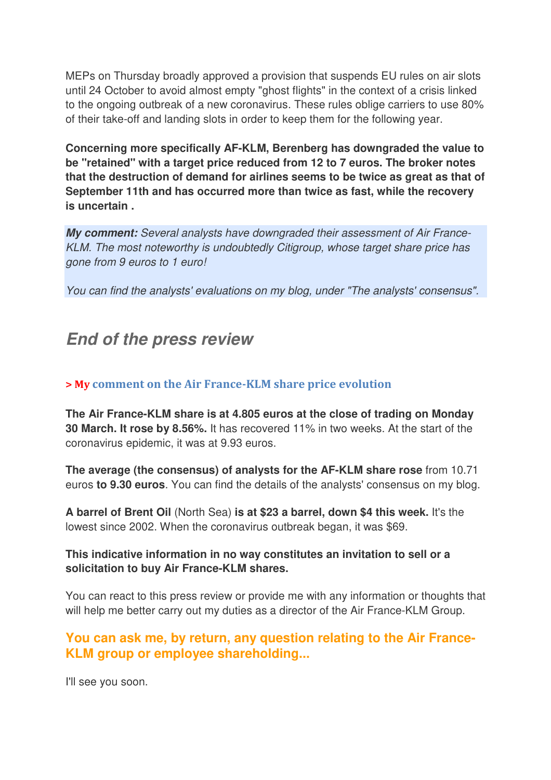MEPs on Thursday broadly approved a provision that suspends EU rules on air slots until 24 October to avoid almost empty "ghost flights" in the context of a crisis linked to the ongoing outbreak of a new coronavirus. These rules oblige carriers to use 80% of their take-off and landing slots in order to keep them for the following year.

**Concerning more specifically AF-KLM, Berenberg has downgraded the value to be "retained" with a target price reduced from 12 to 7 euros. The broker notes that the destruction of demand for airlines seems to be twice as great as that of September 11th and has occurred more than twice as fast, while the recovery is uncertain .**

*My comment:* Several analysts have downgraded their assessment of Air France-KLM. The most noteworthy is undoubtedly Citigroup, whose target share price has gone from 9 euros to 1 euro!

You can find the analysts' evaluations on my blog, under "The analysts' consensus".

## *End of the press review*

#### **> My comment on the Air France-KLM share price evolution**

**The Air France-KLM share is at 4.805 euros at the close of trading on Monday 30 March. It rose by 8.56%.** It has recovered 11% in two weeks. At the start of the coronavirus epidemic, it was at 9.93 euros.

**The average (the consensus) of analysts for the AF-KLM share rose** from 10.71 euros **to 9.30 euros**. You can find the details of the analysts' consensus on my blog.

**A barrel of Brent Oil** (North Sea) **is at \$23 a barrel, down \$4 this week.** It's the lowest since 2002. When the coronavirus outbreak began, it was \$69.

#### **This indicative information in no way constitutes an invitation to sell or a solicitation to buy Air France-KLM shares.**

You can react to this press review or provide me with any information or thoughts that will help me better carry out my duties as a director of the Air France-KLM Group.

### **You can ask me, by return, any question relating to the Air France-KLM group or employee shareholding...**

I'll see you soon.